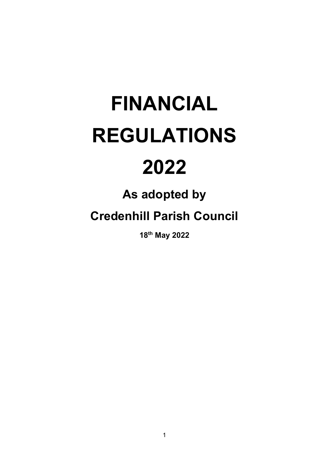# FINANCIAL REGULATIONS

# 2022

## As adopted by

### Credenhill Parish Council

18th May 2022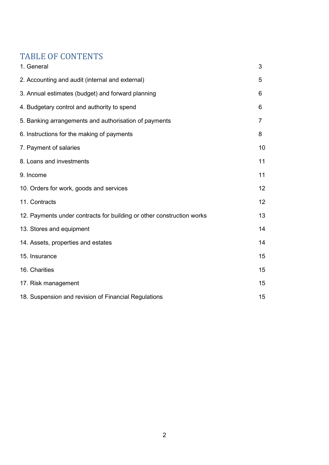#### TABLE OF CONTENTS

| 1. General                                                            | 3  |
|-----------------------------------------------------------------------|----|
| 2. Accounting and audit (internal and external)                       | 5  |
| 3. Annual estimates (budget) and forward planning                     | 6  |
| 4. Budgetary control and authority to spend                           | 6  |
| 5. Banking arrangements and authorisation of payments                 | 7  |
| 6. Instructions for the making of payments                            | 8  |
| 7. Payment of salaries                                                | 10 |
| 8. Loans and investments                                              | 11 |
| 9. Income                                                             | 11 |
| 10. Orders for work, goods and services                               | 12 |
| 11. Contracts                                                         | 12 |
| 12. Payments under contracts for building or other construction works | 13 |
| 13. Stores and equipment                                              | 14 |
| 14. Assets, properties and estates                                    | 14 |
| 15. Insurance                                                         | 15 |
| 16. Charities                                                         | 15 |
| 17. Risk management                                                   | 15 |
| 18. Suspension and revision of Financial Regulations                  | 15 |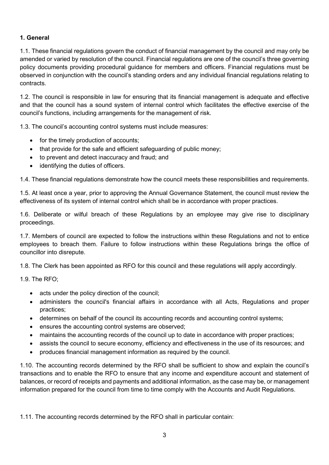#### 1. General

1.1. These financial regulations govern the conduct of financial management by the council and may only be amended or varied by resolution of the council. Financial regulations are one of the council's three governing policy documents providing procedural guidance for members and officers. Financial regulations must be observed in conjunction with the council's standing orders and any individual financial regulations relating to contracts.

1.2. The council is responsible in law for ensuring that its financial management is adequate and effective and that the council has a sound system of internal control which facilitates the effective exercise of the council's functions, including arrangements for the management of risk.

1.3. The council's accounting control systems must include measures:

- for the timely production of accounts;
- that provide for the safe and efficient safeguarding of public money;
- to prevent and detect inaccuracy and fraud; and
- identifying the duties of officers.

1.4. These financial regulations demonstrate how the council meets these responsibilities and requirements.

1.5. At least once a year, prior to approving the Annual Governance Statement, the council must review the effectiveness of its system of internal control which shall be in accordance with proper practices.

1.6. Deliberate or wilful breach of these Regulations by an employee may give rise to disciplinary proceedings.

1.7. Members of council are expected to follow the instructions within these Regulations and not to entice employees to breach them. Failure to follow instructions within these Regulations brings the office of councillor into disrepute.

1.8. The Clerk has been appointed as RFO for this council and these regulations will apply accordingly.

1.9. The RFO;

- acts under the policy direction of the council;
- administers the council's financial affairs in accordance with all Acts, Regulations and proper practices;
- determines on behalf of the council its accounting records and accounting control systems;
- ensures the accounting control systems are observed;
- maintains the accounting records of the council up to date in accordance with proper practices;
- assists the council to secure economy, efficiency and effectiveness in the use of its resources; and
- produces financial management information as required by the council.

1.10. The accounting records determined by the RFO shall be sufficient to show and explain the council's transactions and to enable the RFO to ensure that any income and expenditure account and statement of balances, or record of receipts and payments and additional information, as the case may be, or management information prepared for the council from time to time comply with the Accounts and Audit Regulations.

1.11. The accounting records determined by the RFO shall in particular contain: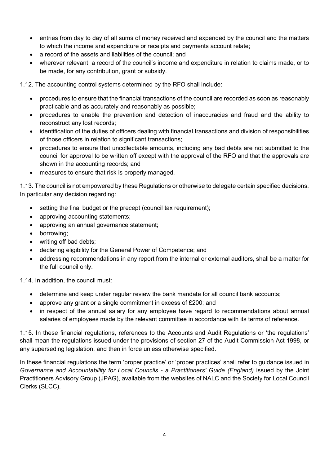- entries from day to day of all sums of money received and expended by the council and the matters to which the income and expenditure or receipts and payments account relate;
- a record of the assets and liabilities of the council; and
- wherever relevant, a record of the council's income and expenditure in relation to claims made, or to be made, for any contribution, grant or subsidy.

1.12. The accounting control systems determined by the RFO shall include:

- procedures to ensure that the financial transactions of the council are recorded as soon as reasonably practicable and as accurately and reasonably as possible;
- procedures to enable the prevention and detection of inaccuracies and fraud and the ability to reconstruct any lost records;
- identification of the duties of officers dealing with financial transactions and division of responsibilities of those officers in relation to significant transactions;
- procedures to ensure that uncollectable amounts, including any bad debts are not submitted to the council for approval to be written off except with the approval of the RFO and that the approvals are shown in the accounting records; and
- measures to ensure that risk is properly managed.

1.13. The council is not empowered by these Regulations or otherwise to delegate certain specified decisions. In particular any decision regarding:

- setting the final budget or the precept (council tax requirement);
- approving accounting statements;
- approving an annual governance statement;
- borrowing;
- writing off bad debts;
- declaring eligibility for the General Power of Competence; and
- addressing recommendations in any report from the internal or external auditors, shall be a matter for the full council only.

1.14. In addition, the council must:

- determine and keep under regular review the bank mandate for all council bank accounts;
- approve any grant or a single commitment in excess of £200; and
- in respect of the annual salary for any employee have regard to recommendations about annual salaries of employees made by the relevant committee in accordance with its terms of reference.

1.15. In these financial regulations, references to the Accounts and Audit Regulations or 'the regulations' shall mean the regulations issued under the provisions of section 27 of the Audit Commission Act 1998, or any superseding legislation, and then in force unless otherwise specified.

In these financial regulations the term 'proper practice' or 'proper practices' shall refer to guidance issued in Governance and Accountability for Local Councils - a Practitioners' Guide (England) issued by the Joint Practitioners Advisory Group (JPAG), available from the websites of NALC and the Society for Local Council Clerks (SLCC).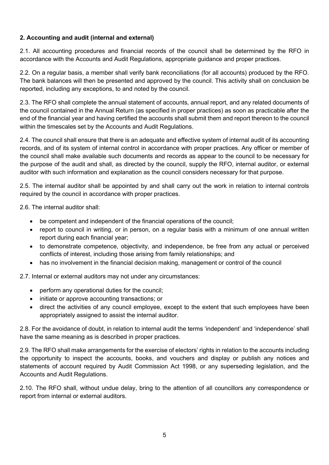#### 2. Accounting and audit (internal and external)

2.1. All accounting procedures and financial records of the council shall be determined by the RFO in accordance with the Accounts and Audit Regulations, appropriate guidance and proper practices.

2.2. On a regular basis, a member shall verify bank reconciliations (for all accounts) produced by the RFO. The bank balances will then be presented and approved by the council. This activity shall on conclusion be reported, including any exceptions, to and noted by the council.

2.3. The RFO shall complete the annual statement of accounts, annual report, and any related documents of the council contained in the Annual Return (as specified in proper practices) as soon as practicable after the end of the financial year and having certified the accounts shall submit them and report thereon to the council within the timescales set by the Accounts and Audit Regulations.

2.4. The council shall ensure that there is an adequate and effective system of internal audit of its accounting records, and of its system of internal control in accordance with proper practices. Any officer or member of the council shall make available such documents and records as appear to the council to be necessary for the purpose of the audit and shall, as directed by the council, supply the RFO, internal auditor, or external auditor with such information and explanation as the council considers necessary for that purpose.

2.5. The internal auditor shall be appointed by and shall carry out the work in relation to internal controls required by the council in accordance with proper practices.

2.6. The internal auditor shall:

- be competent and independent of the financial operations of the council;
- report to council in writing, or in person, on a regular basis with a minimum of one annual written report during each financial year;
- to demonstrate competence, objectivity, and independence, be free from any actual or perceived conflicts of interest, including those arising from family relationships; and
- has no involvement in the financial decision making, management or control of the council

2.7. Internal or external auditors may not under any circumstances:

- perform any operational duties for the council;
- initiate or approve accounting transactions; or
- direct the activities of any council employee, except to the extent that such employees have been appropriately assigned to assist the internal auditor.

2.8. For the avoidance of doubt, in relation to internal audit the terms 'independent' and 'independence' shall have the same meaning as is described in proper practices.

2.9. The RFO shall make arrangements for the exercise of electors' rights in relation to the accounts including the opportunity to inspect the accounts, books, and vouchers and display or publish any notices and statements of account required by Audit Commission Act 1998, or any superseding legislation, and the Accounts and Audit Regulations.

2.10. The RFO shall, without undue delay, bring to the attention of all councillors any correspondence or report from internal or external auditors.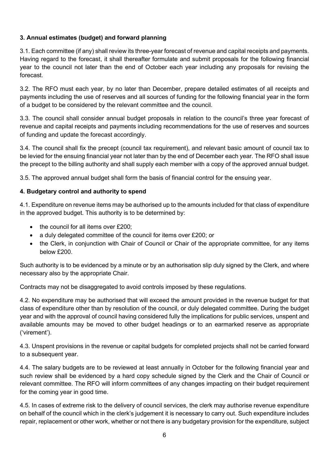#### 3. Annual estimates (budget) and forward planning

3.1. Each committee (if any) shall review its three-year forecast of revenue and capital receipts and payments. Having regard to the forecast, it shall thereafter formulate and submit proposals for the following financial year to the council not later than the end of October each year including any proposals for revising the forecast.

3.2. The RFO must each year, by no later than December, prepare detailed estimates of all receipts and payments including the use of reserves and all sources of funding for the following financial year in the form of a budget to be considered by the relevant committee and the council.

3.3. The council shall consider annual budget proposals in relation to the council's three year forecast of revenue and capital receipts and payments including recommendations for the use of reserves and sources of funding and update the forecast accordingly.

3.4. The council shall fix the precept (council tax requirement), and relevant basic amount of council tax to be levied for the ensuing financial year not later than by the end of December each year. The RFO shall issue the precept to the billing authority and shall supply each member with a copy of the approved annual budget.

3.5. The approved annual budget shall form the basis of financial control for the ensuing year.

#### 4. Budgetary control and authority to spend

4.1. Expenditure on revenue items may be authorised up to the amounts included for that class of expenditure in the approved budget. This authority is to be determined by:

- the council for all items over £200;
- a duly delegated committee of the council for items over £200; or
- the Clerk, in conjunction with Chair of Council or Chair of the appropriate committee, for any items below £200.

Such authority is to be evidenced by a minute or by an authorisation slip duly signed by the Clerk, and where necessary also by the appropriate Chair.

Contracts may not be disaggregated to avoid controls imposed by these regulations.

4.2. No expenditure may be authorised that will exceed the amount provided in the revenue budget for that class of expenditure other than by resolution of the council, or duly delegated committee. During the budget year and with the approval of council having considered fully the implications for public services, unspent and available amounts may be moved to other budget headings or to an earmarked reserve as appropriate ('virement').

4.3. Unspent provisions in the revenue or capital budgets for completed projects shall not be carried forward to a subsequent year.

4.4. The salary budgets are to be reviewed at least annually in October for the following financial year and such review shall be evidenced by a hard copy schedule signed by the Clerk and the Chair of Council or relevant committee. The RFO will inform committees of any changes impacting on their budget requirement for the coming year in good time.

4.5. In cases of extreme risk to the delivery of council services, the clerk may authorise revenue expenditure on behalf of the council which in the clerk's judgement it is necessary to carry out. Such expenditure includes repair, replacement or other work, whether or not there is any budgetary provision for the expenditure, subject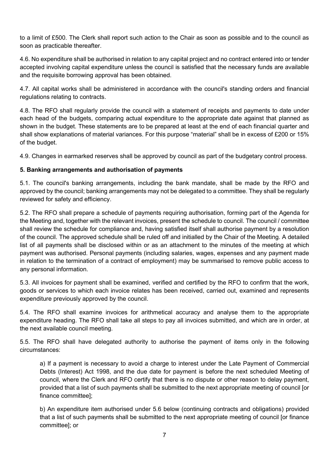to a limit of £500. The Clerk shall report such action to the Chair as soon as possible and to the council as soon as practicable thereafter.

4.6. No expenditure shall be authorised in relation to any capital project and no contract entered into or tender accepted involving capital expenditure unless the council is satisfied that the necessary funds are available and the requisite borrowing approval has been obtained.

4.7. All capital works shall be administered in accordance with the council's standing orders and financial regulations relating to contracts.

4.8. The RFO shall regularly provide the council with a statement of receipts and payments to date under each head of the budgets, comparing actual expenditure to the appropriate date against that planned as shown in the budget. These statements are to be prepared at least at the end of each financial quarter and shall show explanations of material variances. For this purpose "material" shall be in excess of £200 or 15% of the budget.

4.9. Changes in earmarked reserves shall be approved by council as part of the budgetary control process.

#### 5. Banking arrangements and authorisation of payments

5.1. The council's banking arrangements, including the bank mandate, shall be made by the RFO and approved by the council; banking arrangements may not be delegated to a committee. They shall be regularly reviewed for safety and efficiency.

5.2. The RFO shall prepare a schedule of payments requiring authorisation, forming part of the Agenda for the Meeting and, together with the relevant invoices, present the schedule to council. The council / committee shall review the schedule for compliance and, having satisfied itself shall authorise payment by a resolution of the council. The approved schedule shall be ruled off and initialled by the Chair of the Meeting. A detailed list of all payments shall be disclosed within or as an attachment to the minutes of the meeting at which payment was authorised. Personal payments (including salaries, wages, expenses and any payment made in relation to the termination of a contract of employment) may be summarised to remove public access to any personal information.

5.3. All invoices for payment shall be examined, verified and certified by the RFO to confirm that the work, goods or services to which each invoice relates has been received, carried out, examined and represents expenditure previously approved by the council.

5.4. The RFO shall examine invoices for arithmetical accuracy and analyse them to the appropriate expenditure heading. The RFO shall take all steps to pay all invoices submitted, and which are in order, at the next available council meeting.

5.5. The RFO shall have delegated authority to authorise the payment of items only in the following circumstances:

a) If a payment is necessary to avoid a charge to interest under the Late Payment of Commercial Debts (Interest) Act 1998, and the due date for payment is before the next scheduled Meeting of council, where the Clerk and RFO certify that there is no dispute or other reason to delay payment, provided that a list of such payments shall be submitted to the next appropriate meeting of council [or finance committee];

b) An expenditure item authorised under 5.6 below (continuing contracts and obligations) provided that a list of such payments shall be submitted to the next appropriate meeting of council [or finance committee]; or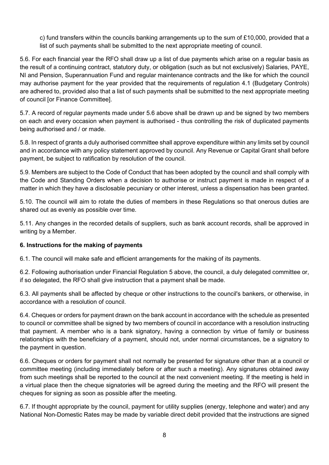c) fund transfers within the councils banking arrangements up to the sum of £10,000, provided that a list of such payments shall be submitted to the next appropriate meeting of council.

5.6. For each financial year the RFO shall draw up a list of due payments which arise on a regular basis as the result of a continuing contract, statutory duty, or obligation (such as but not exclusively) Salaries, PAYE, NI and Pension, Superannuation Fund and regular maintenance contracts and the like for which the council may authorise payment for the year provided that the requirements of regulation 4.1 (Budgetary Controls) are adhered to, provided also that a list of such payments shall be submitted to the next appropriate meeting of council [or Finance Committee].

5.7. A record of regular payments made under 5.6 above shall be drawn up and be signed by two members on each and every occasion when payment is authorised - thus controlling the risk of duplicated payments being authorised and / or made.

5.8. In respect of grants a duly authorised committee shall approve expenditure within any limits set by council and in accordance with any policy statement approved by council. Any Revenue or Capital Grant shall before payment, be subject to ratification by resolution of the council.

5.9. Members are subject to the Code of Conduct that has been adopted by the council and shall comply with the Code and Standing Orders when a decision to authorise or instruct payment is made in respect of a matter in which they have a disclosable pecuniary or other interest, unless a dispensation has been granted.

5.10. The council will aim to rotate the duties of members in these Regulations so that onerous duties are shared out as evenly as possible over time.

5.11. Any changes in the recorded details of suppliers, such as bank account records, shall be approved in writing by a Member.

#### 6. Instructions for the making of payments

6.1. The council will make safe and efficient arrangements for the making of its payments.

6.2. Following authorisation under Financial Regulation 5 above, the council, a duly delegated committee or, if so delegated, the RFO shall give instruction that a payment shall be made.

6.3. All payments shall be affected by cheque or other instructions to the council's bankers, or otherwise, in accordance with a resolution of council.

6.4. Cheques or orders for payment drawn on the bank account in accordance with the schedule as presented to council or committee shall be signed by two members of council in accordance with a resolution instructing that payment. A member who is a bank signatory, having a connection by virtue of family or business relationships with the beneficiary of a payment, should not, under normal circumstances, be a signatory to the payment in question.

6.6. Cheques or orders for payment shall not normally be presented for signature other than at a council or committee meeting (including immediately before or after such a meeting). Any signatures obtained away from such meetings shall be reported to the council at the next convenient meeting. If the meeting is held in a virtual place then the cheque signatories will be agreed during the meeting and the RFO will present the cheques for signing as soon as possible after the meeting.

6.7. If thought appropriate by the council, payment for utility supplies (energy, telephone and water) and any National Non-Domestic Rates may be made by variable direct debit provided that the instructions are signed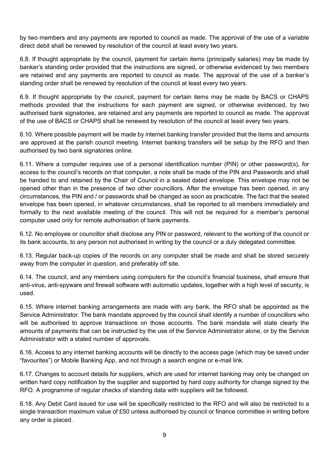by two members and any payments are reported to council as made. The approval of the use of a variable direct debit shall be renewed by resolution of the council at least every two years.

6.8. If thought appropriate by the council, payment for certain items (principally salaries) may be made by banker's standing order provided that the instructions are signed, or otherwise evidenced by two members are retained and any payments are reported to council as made. The approval of the use of a banker's standing order shall be renewed by resolution of the council at least every two years.

6.9. If thought appropriate by the council, payment for certain items may be made by BACS or CHAPS methods provided that the instructions for each payment are signed, or otherwise evidenced, by two authorised bank signatories, are retained and any payments are reported to council as made. The approval of the use of BACS or CHAPS shall be renewed by resolution of the council at least every two years.

6.10. Where possible payment will be made by internet banking transfer provided that the items and amounts are approved at the parish council meeting. Internet banking transfers will be setup by the RFO and then authorised by two bank signatories online.

6.11. Where a computer requires use of a personal identification number (PIN) or other password(s), for access to the council's records on that computer, a note shall be made of the PIN and Passwords and shall be handed to and retained by the Chair of Council in a sealed dated envelope. This envelope may not be opened other than in the presence of two other councillors. After the envelope has been opened, in any circumstances, the PIN and / or passwords shall be changed as soon as practicable. The fact that the sealed envelope has been opened, in whatever circumstances, shall be reported to all members immediately and formally to the next available meeting of the council. This will not be required for a member's personal computer used only for remote authorisation of bank payments.

6.12. No employee or councillor shall disclose any PIN or password, relevant to the working of the council or its bank accounts, to any person not authorised in writing by the council or a duly delegated committee.

6.13. Regular back-up copies of the records on any computer shall be made and shall be stored securely away from the computer in question, and preferably off site.

6.14. The council, and any members using computers for the council's financial business, shall ensure that anti-virus, anti-spyware and firewall software with automatic updates, together with a high level of security, is used.

6.15. Where internet banking arrangements are made with any bank, the RFO shall be appointed as the Service Administrator. The bank mandate approved by the council shall identify a number of councillors who will be authorised to approve transactions on those accounts. The bank mandate will state clearly the amounts of payments that can be instructed by the use of the Service Administrator alone, or by the Service Administrator with a stated number of approvals.

6.16. Access to any internet banking accounts will be directly to the access page (which may be saved under "favourites") or Mobile Banking App, and not through a search engine or e-mail link.

6.17. Changes to account details for suppliers, which are used for internet banking may only be changed on written hard copy notification by the supplier and supported by hard copy authority for change signed by the RFO. A programme of regular checks of standing data with suppliers will be followed.

6.18. Any Debit Card issued for use will be specifically restricted to the RFO and will also be restricted to a single transaction maximum value of £50 unless authorised by council or finance committee in writing before any order is placed.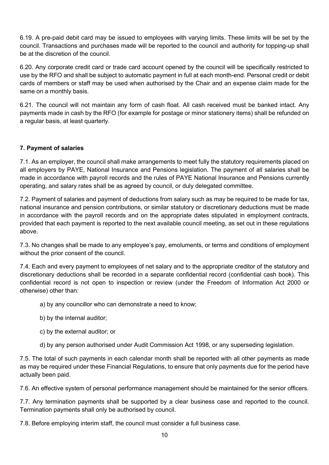6.19. A pre-paid debit card may be issued to employees with varying limits. These limits will be set by the council. Transactions and purchases made will be reported to the council and authority for topping-up shall be at the discretion of the council.

6.20. Any corporate credit card or trade card account opened by the council will be specifically restricted to use by the RFO and shall be subject to automatic payment in full at each month-end. Personal credit or debit cards of members or staff may be used when authorised by the Chair and an expense claim made for the same on a monthly basis.

6.21. The council will not maintain any form of cash float. All cash received must be banked intact. Any payments made in cash by the RFO (for example for postage or minor stationery items) shall be refunded on a regular basis, at least quarterly.

#### 7. Payment of salaries

7.1. As an employer, the council shall make arrangements to meet fully the statutory requirements placed on all employers by PAYE, National Insurance and Pensions legislation. The payment of all salaries shall be made in accordance with payroll records and the rules of PAYE National Insurance and Pensions currently operating, and salary rates shall be as agreed by council, or duly delegated committee.

7.2. Payment of salaries and payment of deductions from salary such as may be required to be made for tax, national insurance and pension contributions, or similar statutory or discretionary deductions must be made in accordance with the payroll records and on the appropriate dates stipulated in employment contracts, provided that each payment is reported to the next available council meeting, as set out in these regulations above.

7.3. No changes shall be made to any employee's pay, emoluments, or terms and conditions of employment without the prior consent of the council.

7.4. Each and every payment to employees of net salary and to the appropriate creditor of the statutory and discretionary deductions shall be recorded in a separate confidential record (confidential cash book). This confidential record is not open to inspection or review (under the Freedom of Information Act 2000 or otherwise) other than:

- a) by any councillor who can demonstrate a need to know;
- b) by the internal auditor;
- c) by the external auditor; or
- d) by any person authorised under Audit Commission Act 1998, or any superseding legislation.

7.5. The total of such payments in each calendar month shall be reported with all other payments as made as may be required under these Financial Regulations, to ensure that only payments due for the period have actually been paid.

7.6. An effective system of personal performance management should be maintained for the senior officers.

7.7. Any termination payments shall be supported by a clear business case and reported to the council. Termination payments shall only be authorised by council.

7.8. Before employing interim staff, the council must consider a full business case.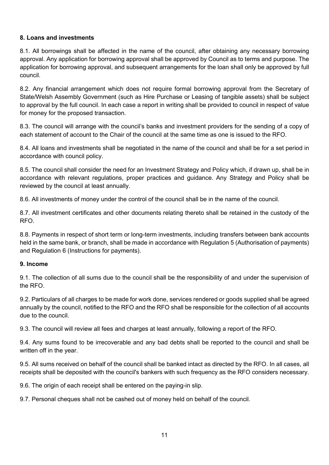#### 8. Loans and investments

8.1. All borrowings shall be affected in the name of the council, after obtaining any necessary borrowing approval. Any application for borrowing approval shall be approved by Council as to terms and purpose. The application for borrowing approval, and subsequent arrangements for the loan shall only be approved by full council.

8.2. Any financial arrangement which does not require formal borrowing approval from the Secretary of State/Welsh Assembly Government (such as Hire Purchase or Leasing of tangible assets) shall be subject to approval by the full council. In each case a report in writing shall be provided to council in respect of value for money for the proposed transaction.

8.3. The council will arrange with the council's banks and investment providers for the sending of a copy of each statement of account to the Chair of the council at the same time as one is issued to the RFO.

8.4. All loans and investments shall be negotiated in the name of the council and shall be for a set period in accordance with council policy.

8.5. The council shall consider the need for an Investment Strategy and Policy which, if drawn up, shall be in accordance with relevant regulations, proper practices and guidance. Any Strategy and Policy shall be reviewed by the council at least annually.

8.6. All investments of money under the control of the council shall be in the name of the council.

8.7. All investment certificates and other documents relating thereto shall be retained in the custody of the RFO.

8.8. Payments in respect of short term or long-term investments, including transfers between bank accounts held in the same bank, or branch, shall be made in accordance with Regulation 5 (Authorisation of payments) and Regulation 6 (Instructions for payments).

#### 9. Income

9.1. The collection of all sums due to the council shall be the responsibility of and under the supervision of the RFO.

9.2. Particulars of all charges to be made for work done, services rendered or goods supplied shall be agreed annually by the council, notified to the RFO and the RFO shall be responsible for the collection of all accounts due to the council.

9.3. The council will review all fees and charges at least annually, following a report of the RFO.

9.4. Any sums found to be irrecoverable and any bad debts shall be reported to the council and shall be written off in the year.

9.5. All sums received on behalf of the council shall be banked intact as directed by the RFO. In all cases, all receipts shall be deposited with the council's bankers with such frequency as the RFO considers necessary.

9.6. The origin of each receipt shall be entered on the paying-in slip.

9.7. Personal cheques shall not be cashed out of money held on behalf of the council.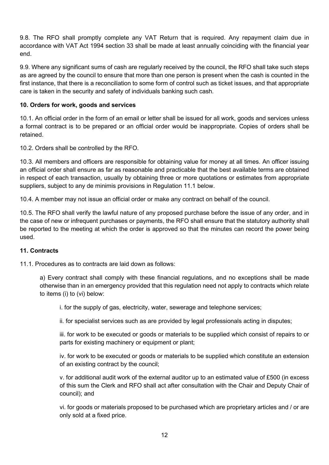9.8. The RFO shall promptly complete any VAT Return that is required. Any repayment claim due in accordance with VAT Act 1994 section 33 shall be made at least annually coinciding with the financial year end.

9.9. Where any significant sums of cash are regularly received by the council, the RFO shall take such steps as are agreed by the council to ensure that more than one person is present when the cash is counted in the first instance, that there is a reconciliation to some form of control such as ticket issues, and that appropriate care is taken in the security and safety of individuals banking such cash.

#### 10. Orders for work, goods and services

10.1. An official order in the form of an email or letter shall be issued for all work, goods and services unless a formal contract is to be prepared or an official order would be inappropriate. Copies of orders shall be retained.

10.2. Orders shall be controlled by the RFO.

10.3. All members and officers are responsible for obtaining value for money at all times. An officer issuing an official order shall ensure as far as reasonable and practicable that the best available terms are obtained in respect of each transaction, usually by obtaining three or more quotations or estimates from appropriate suppliers, subject to any de minimis provisions in Regulation 11.1 below.

10.4. A member may not issue an official order or make any contract on behalf of the council.

10.5. The RFO shall verify the lawful nature of any proposed purchase before the issue of any order, and in the case of new or infrequent purchases or payments, the RFO shall ensure that the statutory authority shall be reported to the meeting at which the order is approved so that the minutes can record the power being used.

#### 11. Contracts

11.1. Procedures as to contracts are laid down as follows:

a) Every contract shall comply with these financial regulations, and no exceptions shall be made otherwise than in an emergency provided that this regulation need not apply to contracts which relate to items (i) to (vi) below:

i. for the supply of gas, electricity, water, sewerage and telephone services;

ii. for specialist services such as are provided by legal professionals acting in disputes;

iii. for work to be executed or goods or materials to be supplied which consist of repairs to or parts for existing machinery or equipment or plant;

iv. for work to be executed or goods or materials to be supplied which constitute an extension of an existing contract by the council;

v. for additional audit work of the external auditor up to an estimated value of £500 (in excess of this sum the Clerk and RFO shall act after consultation with the Chair and Deputy Chair of council); and

vi. for goods or materials proposed to be purchased which are proprietary articles and / or are only sold at a fixed price.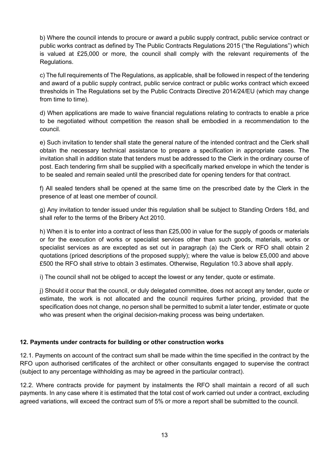b) Where the council intends to procure or award a public supply contract, public service contract or public works contract as defined by The Public Contracts Regulations 2015 ("the Regulations") which is valued at £25,000 or more, the council shall comply with the relevant requirements of the Regulations.

c) The full requirements of The Regulations, as applicable, shall be followed in respect of the tendering and award of a public supply contract, public service contract or public works contract which exceed thresholds in The Regulations set by the Public Contracts Directive 2014/24/EU (which may change from time to time).

d) When applications are made to waive financial regulations relating to contracts to enable a price to be negotiated without competition the reason shall be embodied in a recommendation to the council.

e) Such invitation to tender shall state the general nature of the intended contract and the Clerk shall obtain the necessary technical assistance to prepare a specification in appropriate cases. The invitation shall in addition state that tenders must be addressed to the Clerk in the ordinary course of post. Each tendering firm shall be supplied with a specifically marked envelope in which the tender is to be sealed and remain sealed until the prescribed date for opening tenders for that contract.

f) All sealed tenders shall be opened at the same time on the prescribed date by the Clerk in the presence of at least one member of council.

g) Any invitation to tender issued under this regulation shall be subject to Standing Orders 18d, and shall refer to the terms of the Bribery Act 2010.

h) When it is to enter into a contract of less than £25,000 in value for the supply of goods or materials or for the execution of works or specialist services other than such goods, materials, works or specialist services as are excepted as set out in paragraph (a) the Clerk or RFO shall obtain 2 quotations (priced descriptions of the proposed supply); where the value is below £5,000 and above £500 the RFO shall strive to obtain 3 estimates. Otherwise, Regulation 10.3 above shall apply.

i) The council shall not be obliged to accept the lowest or any tender, quote or estimate.

j) Should it occur that the council, or duly delegated committee, does not accept any tender, quote or estimate, the work is not allocated and the council requires further pricing, provided that the specification does not change, no person shall be permitted to submit a later tender, estimate or quote who was present when the original decision-making process was being undertaken.

#### 12. Payments under contracts for building or other construction works

12.1. Payments on account of the contract sum shall be made within the time specified in the contract by the RFO upon authorised certificates of the architect or other consultants engaged to supervise the contract (subject to any percentage withholding as may be agreed in the particular contract).

12.2. Where contracts provide for payment by instalments the RFO shall maintain a record of all such payments. In any case where it is estimated that the total cost of work carried out under a contract, excluding agreed variations, will exceed the contract sum of 5% or more a report shall be submitted to the council.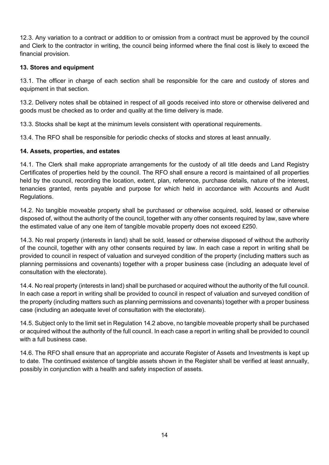12.3. Any variation to a contract or addition to or omission from a contract must be approved by the council and Clerk to the contractor in writing, the council being informed where the final cost is likely to exceed the financial provision.

#### 13. Stores and equipment

13.1. The officer in charge of each section shall be responsible for the care and custody of stores and equipment in that section.

13.2. Delivery notes shall be obtained in respect of all goods received into store or otherwise delivered and goods must be checked as to order and quality at the time delivery is made.

13.3. Stocks shall be kept at the minimum levels consistent with operational requirements.

13.4. The RFO shall be responsible for periodic checks of stocks and stores at least annually.

#### 14. Assets, properties, and estates

14.1. The Clerk shall make appropriate arrangements for the custody of all title deeds and Land Registry Certificates of properties held by the council. The RFO shall ensure a record is maintained of all properties held by the council, recording the location, extent, plan, reference, purchase details, nature of the interest, tenancies granted, rents payable and purpose for which held in accordance with Accounts and Audit Regulations.

14.2. No tangible moveable property shall be purchased or otherwise acquired, sold, leased or otherwise disposed of, without the authority of the council, together with any other consents required by law, save where the estimated value of any one item of tangible movable property does not exceed £250.

14.3. No real property (interests in land) shall be sold, leased or otherwise disposed of without the authority of the council, together with any other consents required by law. In each case a report in writing shall be provided to council in respect of valuation and surveyed condition of the property (including matters such as planning permissions and covenants) together with a proper business case (including an adequate level of consultation with the electorate).

14.4. No real property (interests in land) shall be purchased or acquired without the authority of the full council. In each case a report in writing shall be provided to council in respect of valuation and surveyed condition of the property (including matters such as planning permissions and covenants) together with a proper business case (including an adequate level of consultation with the electorate).

14.5. Subject only to the limit set in Regulation 14.2 above, no tangible moveable property shall be purchased or acquired without the authority of the full council. In each case a report in writing shall be provided to council with a full business case.

14.6. The RFO shall ensure that an appropriate and accurate Register of Assets and Investments is kept up to date. The continued existence of tangible assets shown in the Register shall be verified at least annually, possibly in conjunction with a health and safety inspection of assets.